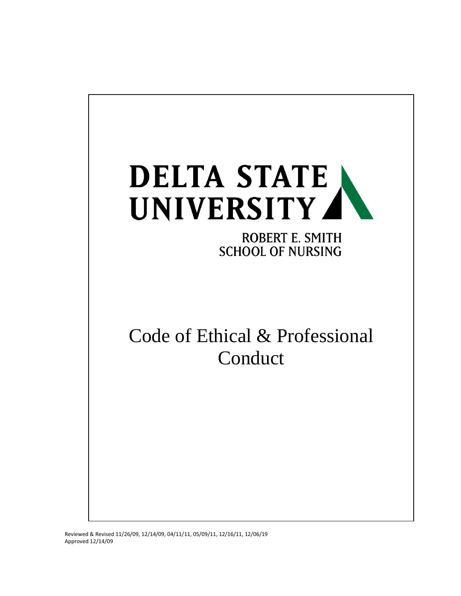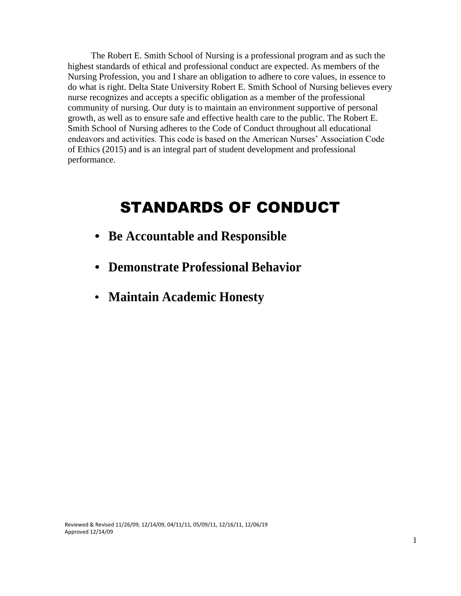The Robert E. Smith School of Nursing is a professional program and as such the highest standards of ethical and professional conduct are expected. As members of the Nursing Profession, you and I share an obligation to adhere to core values, in essence to do what is right. Delta State University Robert E. Smith School of Nursing believes every nurse recognizes and accepts a specific obligation as a member of the professional community of nursing. Our duty is to maintain an environment supportive of personal growth, as well as to ensure safe and effective health care to the public. The Robert E. Smith School of Nursing adheres to the Code of Conduct throughout all educational endeavors and activities. This code is based on the American Nurses' Association Code of Ethics (2015) and is an integral part of student development and professional performance.

# STANDARDS OF CONDUCT

- **Be Accountable and Responsible**
- **Demonstrate Professional Behavior**
- **Maintain Academic Honesty**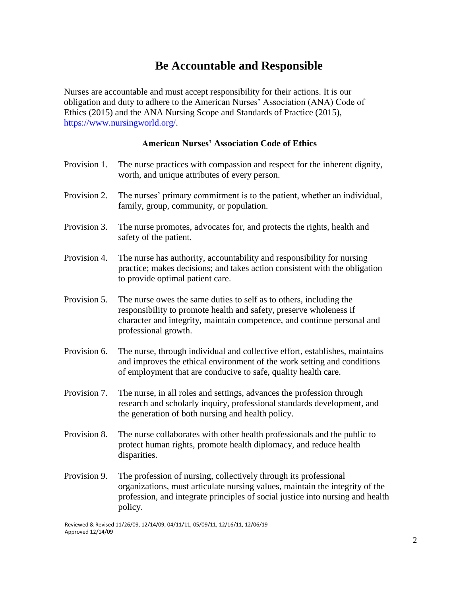#### **Be Accountable and Responsible**

Nurses are accountable and must accept responsibility for their actions. It is our obligation and duty to adhere to the American Nurses' Association (ANA) Code of Ethics (2015) and the ANA Nursing Scope and Standards of Practice (2015), [https://www.nursingworld.org/.](https://www.nursingworld.org/)

#### **American Nurses' Association Code of Ethics**

| Provision 1. | The nurse practices with compassion and respect for the inherent dignity,<br>worth, and unique attributes of every person.                                                                                                                    |
|--------------|-----------------------------------------------------------------------------------------------------------------------------------------------------------------------------------------------------------------------------------------------|
| Provision 2. | The nurses' primary commitment is to the patient, whether an individual,<br>family, group, community, or population.                                                                                                                          |
| Provision 3. | The nurse promotes, advocates for, and protects the rights, health and<br>safety of the patient.                                                                                                                                              |
| Provision 4. | The nurse has authority, accountability and responsibility for nursing<br>practice; makes decisions; and takes action consistent with the obligation<br>to provide optimal patient care.                                                      |
| Provision 5. | The nurse owes the same duties to self as to others, including the<br>responsibility to promote health and safety, preserve wholeness if<br>character and integrity, maintain competence, and continue personal and<br>professional growth.   |
| Provision 6. | The nurse, through individual and collective effort, establishes, maintains<br>and improves the ethical environment of the work setting and conditions<br>of employment that are conducive to safe, quality health care.                      |
| Provision 7. | The nurse, in all roles and settings, advances the profession through<br>research and scholarly inquiry, professional standards development, and<br>the generation of both nursing and health policy.                                         |
| Provision 8. | The nurse collaborates with other health professionals and the public to<br>protect human rights, promote health diplomacy, and reduce health<br>disparities.                                                                                 |
| Provision 9. | The profession of nursing, collectively through its professional<br>organizations, must articulate nursing values, maintain the integrity of the<br>profession, and integrate principles of social justice into nursing and health<br>policy. |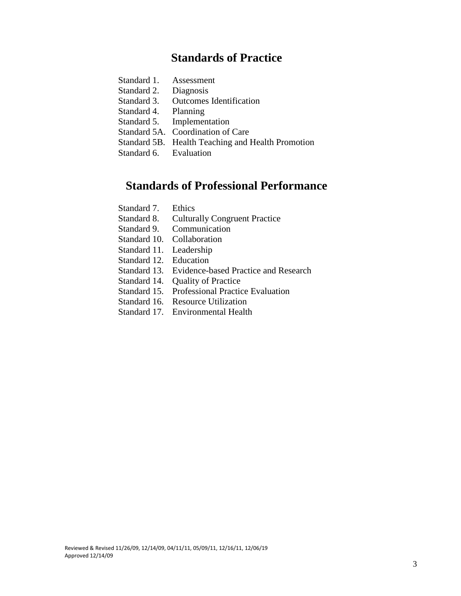#### **Standards of Practice**

- Standard 2. Diagnosis
- Standard 3. Outcomes Identification
- Standard 4. Planning
- Standard 5. Implementation
- Standard 5A. Coordination of Care
- Standard 5B. Health Teaching and Health Promotion
- Standard 6. Evaluation

#### **Standards of Professional Performance**

- Standard 7. Ethics
- Standard 8. Culturally Congruent Practice
- Standard 9. Communication
- Standard 10. Collaboration
- Standard 11. Leadership
- Standard 12. Education
- Standard 13. Evidence-based Practice and Research
- Standard 14. Quality of Practice
- Standard 15. Professional Practice Evaluation
- Standard 16. Resource Utilization
- Standard 17. Environmental Health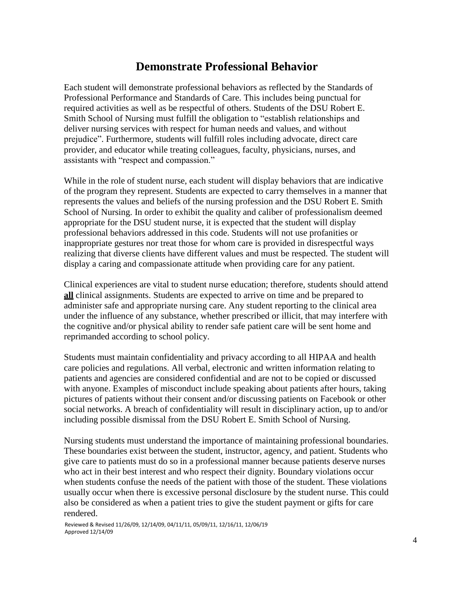#### **Demonstrate Professional Behavior**

Each student will demonstrate professional behaviors as reflected by the Standards of Professional Performance and Standards of Care. This includes being punctual for required activities as well as be respectful of others. Students of the DSU Robert E. Smith School of Nursing must fulfill the obligation to "establish relationships and deliver nursing services with respect for human needs and values, and without prejudice". Furthermore, students will fulfill roles including advocate, direct care provider, and educator while treating colleagues, faculty, physicians, nurses, and assistants with "respect and compassion."

While in the role of student nurse, each student will display behaviors that are indicative of the program they represent. Students are expected to carry themselves in a manner that represents the values and beliefs of the nursing profession and the DSU Robert E. Smith School of Nursing. In order to exhibit the quality and caliber of professionalism deemed appropriate for the DSU student nurse, it is expected that the student will display professional behaviors addressed in this code. Students will not use profanities or inappropriate gestures nor treat those for whom care is provided in disrespectful ways realizing that diverse clients have different values and must be respected. The student will display a caring and compassionate attitude when providing care for any patient.

Clinical experiences are vital to student nurse education; therefore, students should attend **all** clinical assignments. Students are expected to arrive on time and be prepared to administer safe and appropriate nursing care. Any student reporting to the clinical area under the influence of any substance, whether prescribed or illicit, that may interfere with the cognitive and/or physical ability to render safe patient care will be sent home and reprimanded according to school policy.

Students must maintain confidentiality and privacy according to all HIPAA and health care policies and regulations. All verbal, electronic and written information relating to patients and agencies are considered confidential and are not to be copied or discussed with anyone. Examples of misconduct include speaking about patients after hours, taking pictures of patients without their consent and/or discussing patients on Facebook or other social networks. A breach of confidentiality will result in disciplinary action, up to and/or including possible dismissal from the DSU Robert E. Smith School of Nursing.

Nursing students must understand the importance of maintaining professional boundaries. These boundaries exist between the student, instructor, agency, and patient. Students who give care to patients must do so in a professional manner because patients deserve nurses who act in their best interest and who respect their dignity. Boundary violations occur when students confuse the needs of the patient with those of the student. These violations usually occur when there is excessive personal disclosure by the student nurse. This could also be considered as when a patient tries to give the student payment or gifts for care rendered.

Reviewed & Revised 11/26/09, 12/14/09, 04/11/11, 05/09/11, 12/16/11, 12/06/19 Approved 12/14/09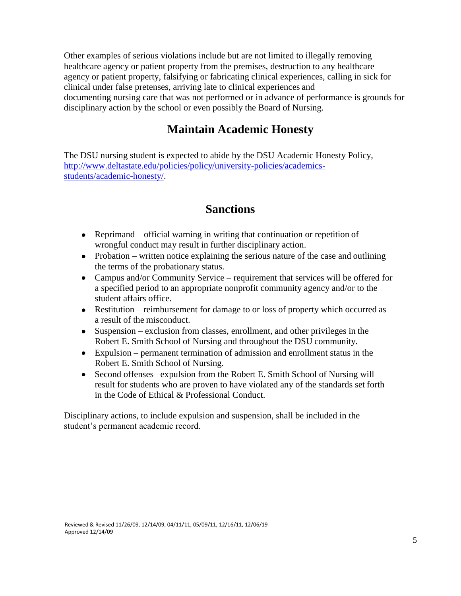Other examples of serious violations include but are not limited to illegally removing healthcare agency or patient property from the premises, destruction to any healthcare agency or patient property, falsifying or fabricating clinical experiences, calling in sick for clinical under false pretenses, arriving late to clinical experiences and documenting nursing care that was not performed or in advance of performance is grounds for disciplinary action by the school or even possibly the Board of Nursing.

### **Maintain Academic Honesty**

The DSU nursing student is expected to abide by the DSU Academic Honesty Policy, [http://www.deltastate.edu/policies/policy/university-policies/academics](http://www.deltastate.edu/policies/policy/university-policies/academics-students/academic-honesty/)[students/academic-honesty/.](http://www.deltastate.edu/policies/policy/university-policies/academics-students/academic-honesty/)

#### **Sanctions**

- Reprimand official warning in writing that continuation or repetition of wrongful conduct may result in further disciplinary action.
- Probation written notice explaining the serious nature of the case and outlining the terms of the probationary status.
- Campus and/or Community Service requirement that services will be offered for a specified period to an appropriate nonprofit community agency and/or to the student affairs office.
- Restitution reimbursement for damage to or loss of property which occurred as a result of the misconduct.
- Suspension exclusion from classes, enrollment, and other privileges in the Robert E. Smith School of Nursing and throughout the DSU community.
- Expulsion permanent termination of admission and enrollment status in the Robert E. Smith School of Nursing.
- Second offenses –expulsion from the Robert E. Smith School of Nursing will result for students who are proven to have violated any of the standards set forth in the Code of Ethical & Professional Conduct.

Disciplinary actions, to include expulsion and suspension, shall be included in the student's permanent academic record.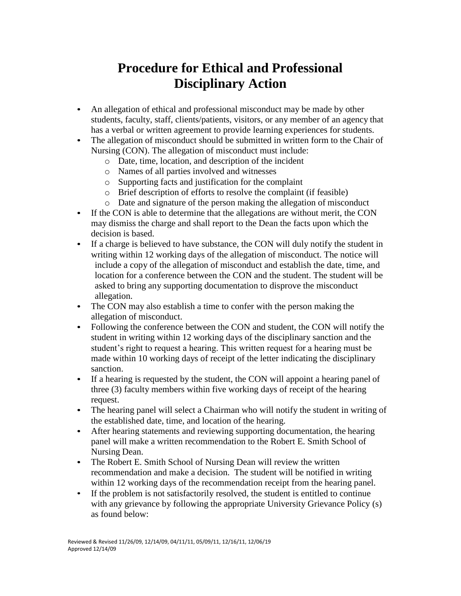## **Procedure for Ethical and Professional Disciplinary Action**

- An allegation of ethical and professional misconduct may be made by other  $\bullet$ students, faculty, staff, clients/patients, visitors, or any member of an agency that has a verbal or written agreement to provide learning experiences for students.
- The allegation of misconduct should be submitted in written form to the Chair of  $\bullet$ Nursing (CON). The allegation of misconduct must include:
	- o Date, time, location, and description of the incident
	- o Names of all parties involved and witnesses
	- o Supporting facts and justification for the complaint
	- o Brief description of efforts to resolve the complaint (if feasible)
	- o Date and signature of the person making the allegation of misconduct
- If the CON is able to determine that the allegations are without merit, the CON may dismiss the charge and shall report to the Dean the facts upon which the decision is based.
- If a charge is believed to have substance, the CON will duly notify the student in  $\bullet$ writing within 12 working days of the allegation of misconduct. The notice will include a copy of the allegation of misconduct and establish the date, time, and location for a conference between the CON and the student. The student will be asked to bring any supporting documentation to disprove the misconduct allegation.
- The CON may also establish a time to confer with the person making the allegation of misconduct.
- Following the conference between the CON and student, the CON will notify the student in writing within 12 working days of the disciplinary sanction and the student's right to request a hearing. This written request for a hearing must be made within 10 working days of receipt of the letter indicating the disciplinary sanction.
- If a hearing is requested by the student, the CON will appoint a hearing panel of  $\bullet$ three (3) faculty members within five working days of receipt of the hearing request.
- The hearing panel will select a Chairman who will notify the student in writing of  $\bullet$ the established date, time, and location of the hearing.
- After hearing statements and reviewing supporting documentation, the hearing panel will make a written recommendation to the Robert E. Smith School of Nursing Dean.
- The Robert E. Smith School of Nursing Dean will review the written recommendation and make a decision. The student will be notified in writing within 12 working days of the recommendation receipt from the hearing panel.
- $\bullet$ If the problem is not satisfactorily resolved, the student is entitled to continue with any grievance by following the appropriate University Grievance Policy (s) as found below: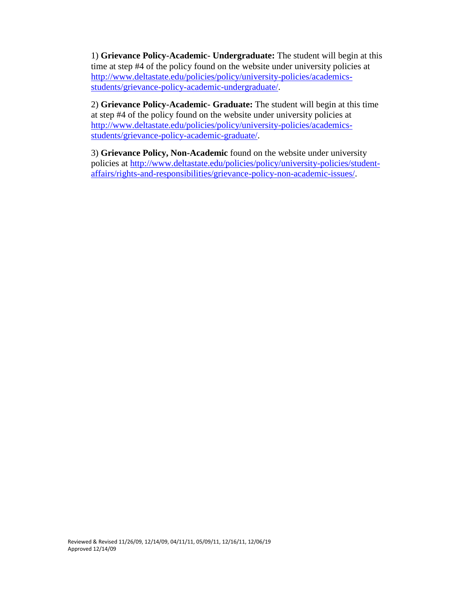1) **Grievance Policy-Academic- Undergraduate:** The student will begin at this time at step #4 of the policy found on the website under university policies at [http://www.deltastate.edu/policies/policy/university-policies/academics](http://www.deltastate.edu/policies/policy/university-policies/academics-students/grievance-policy-academic-undergraduate/)[students/grievance-policy-academic-undergraduate/.](http://www.deltastate.edu/policies/policy/university-policies/academics-students/grievance-policy-academic-undergraduate/)

2) **Grievance Policy-Academic- Graduate:** The student will begin at this time at step #4 of the policy found on the website under university policies at [http://www.deltastate.edu/policies/policy/university-policies/academics](http://www.deltastate.edu/policies/policy/university-policies/academics-students/grievance-policy-academic-graduate/)[students/grievance-policy-academic-graduate/.](http://www.deltastate.edu/policies/policy/university-policies/academics-students/grievance-policy-academic-graduate/)

3) **Grievance Policy, Non-Academic** found on the website under university policies at [http://www.deltastate.edu/policies/policy/university-policies/student](http://www.deltastate.edu/policies/policy/university-policies/student-affairs/rights-and-responsibilities/grievance-policy-non-academic-issues/)[affairs/rights-and-responsibilities/grievance-policy-non-academic-issues/.](http://www.deltastate.edu/policies/policy/university-policies/student-affairs/rights-and-responsibilities/grievance-policy-non-academic-issues/)